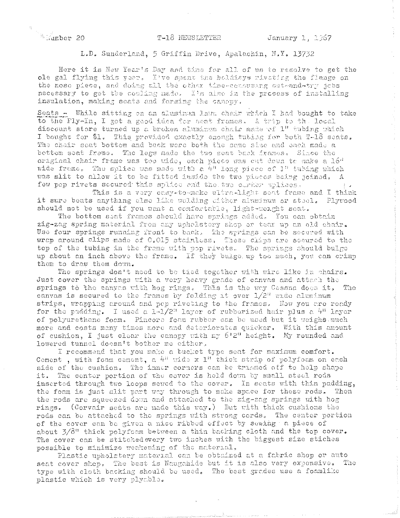## **Examber 20**

## T-18 NEWSLETTER

 $\frac{1}{2}$ 

L.D. Sunderland, 5 Griffin Drive, Apalachin, N.Y. 13732

Here it is New Year's Day and time for all of us to resolve to get the ole gal flying this year. I've spent the holdiays riveting the flange on the nose piece, and doing all the other time-consuming out-and-try jobs necessary to get the couling made. I'm also in the process of installing insulation, making seats and forming the canopy.

Seats - While sitting on an aluminum lawn chair which I had bought to take to the Fly-In, I got a good idea for seat frames. A trip to the local discount store turned up a broken aluminum chair made of 1" tubing which I bought for \$1. This provided exactly enough tubing for both T-18 seats. The chair seat bottom and back were both the same size and each made a bettem seat frame. The legs made the two seat back frames. Since the original chair frame was too wide, each piece was cut down to make a 16" wide frame. The splice was made with a 4" long piece of 1" tubing which was slit to allow it to be fitted inside the two pluces being joined. A few pop rivets secured this splice and the two corner splices.

This is a very easy-to-make ultra-light seat frame and I think it sure beats anything clse like welding cither aluminum or steel. Plywood should not be used if you went a confortable, light-welght seat.

The bottom saat frames should have springs added. You can obtain zig-zag spring material from any upholstory shop or tear up an old chair. Use four springs running front to back, The springs can be secured with wrap around clips made of 0.015 stainless, These clips are secured to the top of the tubing in the frame with pop rivets. The springs should bulge up about an inch above the frame. If they bulge up too much, you can crimp them to draw them down.

The springs don't need to be tied together with wire like in chairs. Just cover the springs with a very heavy grade of canvas and attach the springs to the canyes with hog rings. This is the way Cessna does it. The canvas is secured to the frames by folding it over  $1/2$ <sup>11</sup> wide aluminum strips, wrapping around and pep riveting to the frames. How you are ready for the padding. I used a  $1 - 1/2^n$  layer of rubberized hair plus a  $4^n$  layer of polyurethane foam. Pincore foam rubber can be used but it weighs much more and costs many times more and deteriorates quicker, With this amount of cushion, I just clear the canopy with my 6'2" height. My rounded and lowered tunnel doesn't bother me either,

I recommend that you make a tucket type seat for maximum comfort. Cement, with foam cement, a 4" wide x 1" thick strip of polyfoam on each side of the cushion. The inner corners can be triamed off to help shape it. The center portion of the cover is held down by small steel rods inserted through two loops sewed to the cover. In seats with thin padding, the foam is just slit part way through to make space for these rods. Then the rods are squeezed down and attached to the zig-zag springs with hog rings. (Corvair seats are made this way.) But with thick cushions the rods can be attached to the springs with strong cords. The center portion of the cover can be given a nice ribbed effect by sewing a piece of about 3/8" thick polyfoam between a thin backing cloth and the top cover. The cover can be stitched every two inches with the biggest size stiches possible to minimize weakening of the material,

Plastic upholstery material can be obtained at a fabric shop or auto seat cover shop. The best is Naugahide but it is also very expensive. The type with cloth backing should be used. The best grades use a foamlike plastic which is very plyable.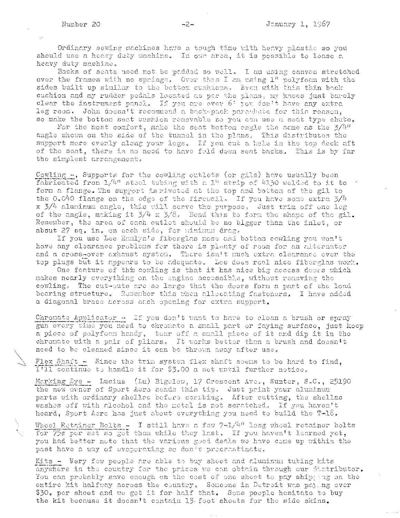فبالمرداء

Ordinary sewing machines have a tough time with heavy plastic so you should use a heavy duty machine. In our area, it is possible to lease a heavy duty machine,

Backs of seats need not be padded so well. I am using canvas stretched over the frames with no springs. Over this I am using 1" polyfoam with the sides built up similar to the bettom cushions. Even with this thin back cushion and my rudder pedals located as par the plans, my knees just barely clear the instrument panel. If you are over 6' you don't have any extra leg room, John doesn't recommend a back-pack parachate for this reason, so make the bottom seat cushion removable so you can use a seat type chute.

For the most comfort, make the seat bottom angle the same as the  $3/4$ " angle shown on the side of the tunnel in the plans. This distributes the support more evenly along your legs. If you cut a hole in the top deck aft of the seat, there is no need to have fold down seat backs. This is by far the simplest arrangement.

Cowling  $-$ , Supports for the cowling outlets (or gils) have usually been fabricated from 1/4" steel tubing with a 1" strip of 4150 welded to it to \* form a flange. The support is riveted at the top and bottom of the gil to the 0.040 flange on the edge of the firewall. If you have some extra  $3/4$  $x$  3/4 aluminum angle, this will serve the purpose, Just trim off one leg of the angle, making it  $3/4 \times 3/8$ . Bend this to form the shape of the gil. Remember, the area of each outlet should be no bigger than the inlet, or about 27 sq. in. on each side, for minimum drag.

If you use Lee Hamlyn's fiberglas nose and bottom cowling you won't have any clearance problems for there is plenty of room for an alternator and a cross-over exhaust system. There isn't much extra clearance over the top plugs but it appears to be adequate. Lee does real nice fiberglas work.

One feature of this cowling is that it has nice big access doors which nakes nearly everything on the engine accessible, without remeving the cowling. The cut-outs are so large that the doors form a part of the load bearing structure. Remember this when allocating fasteners. I have added a diagonal brace across each opening for extra support.

Chromate Applicator ~ If you don't want to have to clean a brush or spray gun every time you need to chromate a small part or faying surface, just keep a piece of polyfoam handy, tear off a small piece of it and dip it in the chronate with a pair of pliars. It works better than a brush and doesn't need to be cleaned since it can be thrown away after use,

Flex Shaft - Since the tria system flex shaft seems to be hard to find. ITII continue to handle it for \$3.00 a set until further notice,

Marking Dye - Lucius (Lu) Bigelow, 17 Crescent Ave., Sumter, S.C., 25190 the new owner of Sport Aero sends this tip. Just print your aluminum parts with ordinary shellec before seribing. After entting, the shellac washes off with alcohol and the metal is not scratched. If you haven't heard, Sport Aero has just about everything you need to build the T-18.

Wheel Retainer Bolts - I still have a few  $7-1/4$ " long wheel retainer bolts for 75¢ per set so get them while they last. If you haven't learned yet, you had better note that the various good deals we have come up within the past have a way of evaporating so don't procrastinate.

Kits - Very fow people are able to buy sheet and aluminum tubing kits anywhere in the country for the prices we can obtain through our distributor. You can probably save enough on the cost of one sheet to pay shipping on the entire kit halfway across the country, Someone in Detroit was paying over \$30, per sheet and we get it for half that. Some people hesitate to buy the kit because it doesn't contain 15 foot sheets for the side skins.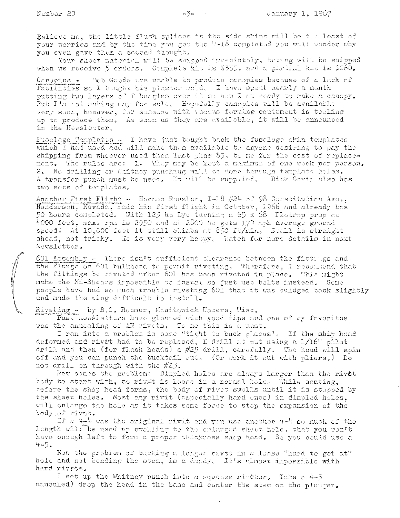Believe me, the little flush splices in the side shins will be the least of your worries and by the time you get the T-18 completed you will wonder why you even gave them a second thought.

Your sheet material will be shipped inmediately, tubing will be shipped when we receive 5 orders. Complete kit is \$335. and a partial kit is \$260.

Bob Gaede the unable to produce canopies because of a lack of Canopies facilities so I bought his plaster nold. I have spent nearly a month putting two layers of fiberglas over it so now I am ready to make a canopy. But I'm not making any for sale. Hepefully canopies will be available very soon, however, for someone with vacuum forming equipment is tooling up to produce them. As soon as they are available, it will be announced in the Newsletter.

Fuselage Templates - I have just bought back the fuselage skin templates which I had used and will nake then available to anyone desiring to pay the shipping from whoever used then last plus \$3, to no for the cost of replacement. The rules are: 1. They may be kept a maximum of one week per person. 2. No drilling or Whitney punching will be done through template holes. A transfer punch must be used. It will be supplied. Dick Cavin also has two sets of templates.

Another First Flight - Herman Rassler, T-18 #24 of 98 Constitution Ave., Henderson, Nevada, made his first flight in October, 1966 and already has 50 hours completed. With 125 hp Lyc turning a  $65 \times 68$  Flotrop prop at 4000 feet, max. rpm is 2950 and at 2800 he gets 172 mph average ground speed! At 10,000 feet it still climbs at 850 ft/min. Stall is straight ahead, not tricky. He is very very happy. Watch for more details in noxt Newsletter.

601 Assembly - There isn't sufficient clearance between the fittings and the flange on 601 bulkhead to permit riveting, Therefore, I recommend that the fittings be riveted after 601 has been riveted in place. This might make the Hi-Shears impossible to instal so just use bolts instead. Some people have had so much trouble riveting 601 that it was buldged back slightly and made the wing difficult to install.

Riveting - by B.C. Roemer, Manitowick Waters, Wisc.

Past newsletters have gleamed with good tips and one of my favorites was the annealing of AN rivets. To me this is a must.

I ran into a problem in some "tight to buck places". If the ship head deformed and rivet had to be replaced, I drill it cut using a  $1/16$ " pilot<br>drill and then (for flush heads) a #25 drill, carefully. The head will spin off and you can punch the bucktail out. (Or work it out with pliers.) Do not drill on through with the  $#25$ .

Now comes the problem: Dimpled holes are always larger than the rivet body to start with, so rivet is loose in a normal hole. While seating, before the shop head forms, the body of rivet swells until it is stopped by the sheet holes. Most any rivit (especially hard cnes) in dimpled holes. will enlarge the hole as it takes some force to stop the expansion of the body of rivat.

If a 4-4 was the original rivit and you use another 4-4 so much of the length will be used up swelling to the calarged sheet hole, that you won't have enough left to form a proper thickness samp head. So you could use a  $4 - 5.$ 

Now the problem of bucking a longer rivet in a loose "hard to get at" hole and not bending the sten, is a dardy. It's almost impossible with hard rivets.

I set up the Whitney punch into a squeeze riveter. Take a 4-5 annealed) drop the head in the base and center the stem on the plunger.